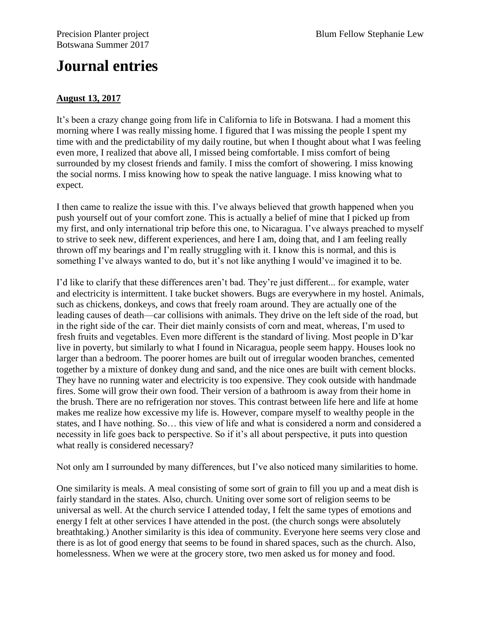## **Journal entries**

## **August 13, 2017**

It's been a crazy change going from life in California to life in Botswana. I had a moment this morning where I was really missing home. I figured that I was missing the people I spent my time with and the predictability of my daily routine, but when I thought about what I was feeling even more, I realized that above all, I missed being comfortable. I miss comfort of being surrounded by my closest friends and family. I miss the comfort of showering. I miss knowing the social norms. I miss knowing how to speak the native language. I miss knowing what to expect.

I then came to realize the issue with this. I've always believed that growth happened when you push yourself out of your comfort zone. This is actually a belief of mine that I picked up from my first, and only international trip before this one, to Nicaragua. I've always preached to myself to strive to seek new, different experiences, and here I am, doing that, and I am feeling really thrown off my bearings and I'm really struggling with it. I know this is normal, and this is something I've always wanted to do, but it's not like anything I would've imagined it to be.

I'd like to clarify that these differences aren't bad. They're just different... for example, water and electricity is intermittent. I take bucket showers. Bugs are everywhere in my hostel. Animals, such as chickens, donkeys, and cows that freely roam around. They are actually one of the leading causes of death—car collisions with animals. They drive on the left side of the road, but in the right side of the car. Their diet mainly consists of corn and meat, whereas, I'm used to fresh fruits and vegetables. Even more different is the standard of living. Most people in D'kar live in poverty, but similarly to what I found in Nicaragua, people seem happy. Houses look no larger than a bedroom. The poorer homes are built out of irregular wooden branches, cemented together by a mixture of donkey dung and sand, and the nice ones are built with cement blocks. They have no running water and electricity is too expensive. They cook outside with handmade fires. Some will grow their own food. Their version of a bathroom is away from their home in the brush. There are no refrigeration nor stoves. This contrast between life here and life at home makes me realize how excessive my life is. However, compare myself to wealthy people in the states, and I have nothing. So… this view of life and what is considered a norm and considered a necessity in life goes back to perspective. So if it's all about perspective, it puts into question what really is considered necessary?

Not only am I surrounded by many differences, but I've also noticed many similarities to home.

One similarity is meals. A meal consisting of some sort of grain to fill you up and a meat dish is fairly standard in the states. Also, church. Uniting over some sort of religion seems to be universal as well. At the church service I attended today, I felt the same types of emotions and energy I felt at other services I have attended in the post. (the church songs were absolutely breathtaking.) Another similarity is this idea of community. Everyone here seems very close and there is as lot of good energy that seems to be found in shared spaces, such as the church. Also, homelessness. When we were at the grocery store, two men asked us for money and food.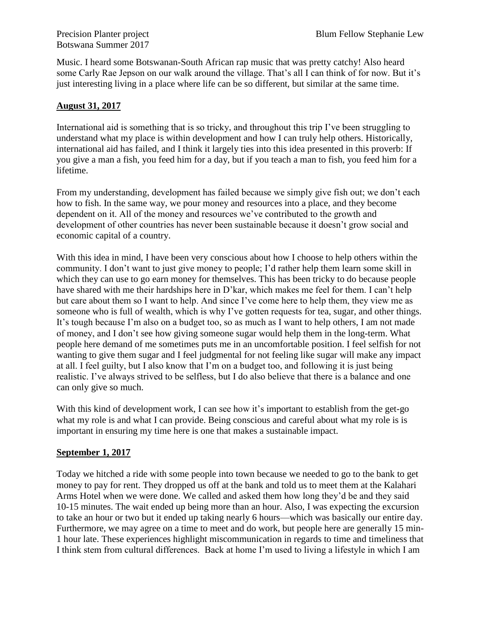Botswana Summer 2017

Music. I heard some Botswanan-South African rap music that was pretty catchy! Also heard some Carly Rae Jepson on our walk around the village. That's all I can think of for now. But it's just interesting living in a place where life can be so different, but similar at the same time.

## **August 31, 2017**

International aid is something that is so tricky, and throughout this trip I've been struggling to understand what my place is within development and how I can truly help others. Historically, international aid has failed, and I think it largely ties into this idea presented in this proverb: If you give a man a fish, you feed him for a day, but if you teach a man to fish, you feed him for a lifetime.

From my understanding, development has failed because we simply give fish out; we don't each how to fish. In the same way, we pour money and resources into a place, and they become dependent on it. All of the money and resources we've contributed to the growth and development of other countries has never been sustainable because it doesn't grow social and economic capital of a country.

With this idea in mind, I have been very conscious about how I choose to help others within the community. I don't want to just give money to people; I'd rather help them learn some skill in which they can use to go earn money for themselves. This has been tricky to do because people have shared with me their hardships here in D'kar, which makes me feel for them. I can't help but care about them so I want to help. And since I've come here to help them, they view me as someone who is full of wealth, which is why I've gotten requests for tea, sugar, and other things. It's tough because I'm also on a budget too, so as much as I want to help others, I am not made of money, and I don't see how giving someone sugar would help them in the long-term. What people here demand of me sometimes puts me in an uncomfortable position. I feel selfish for not wanting to give them sugar and I feel judgmental for not feeling like sugar will make any impact at all. I feel guilty, but I also know that I'm on a budget too, and following it is just being realistic. I've always strived to be selfless, but I do also believe that there is a balance and one can only give so much.

With this kind of development work, I can see how it's important to establish from the get-go what my role is and what I can provide. Being conscious and careful about what my role is is important in ensuring my time here is one that makes a sustainable impact.

## **September 1, 2017**

Today we hitched a ride with some people into town because we needed to go to the bank to get money to pay for rent. They dropped us off at the bank and told us to meet them at the Kalahari Arms Hotel when we were done. We called and asked them how long they'd be and they said 10-15 minutes. The wait ended up being more than an hour. Also, I was expecting the excursion to take an hour or two but it ended up taking nearly 6 hours—which was basically our entire day. Furthermore, we may agree on a time to meet and do work, but people here are generally 15 min-1 hour late. These experiences highlight miscommunication in regards to time and timeliness that I think stem from cultural differences. Back at home I'm used to living a lifestyle in which I am